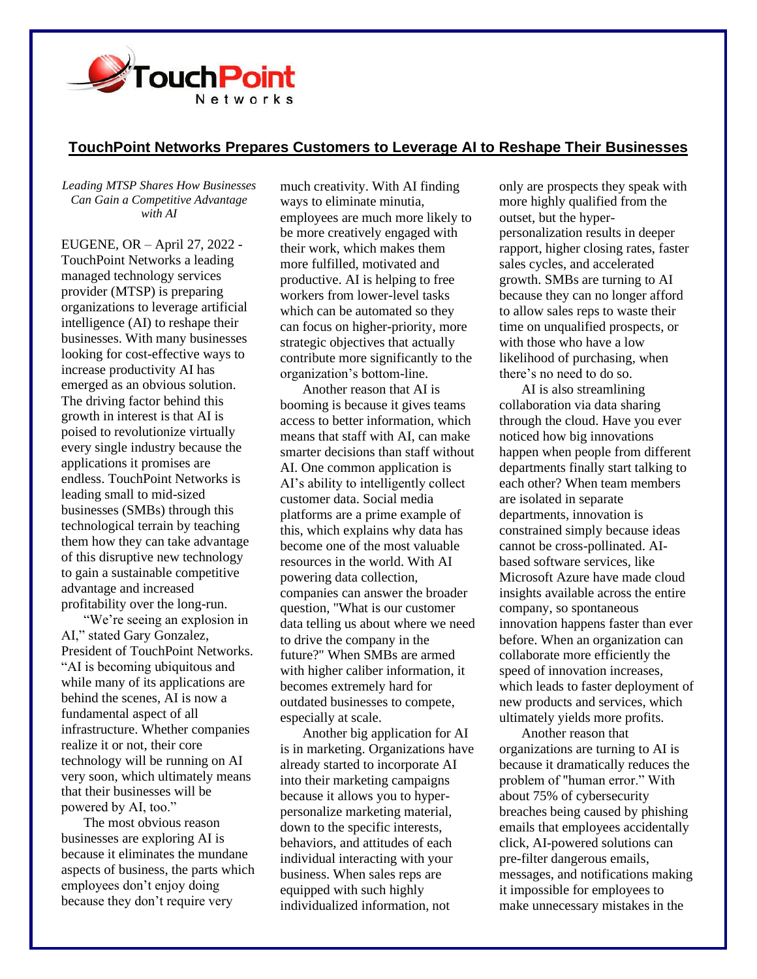

## **TouchPoint Networks Prepares Customers to Leverage AI to Reshape Their Businesses**

*Leading MTSP Shares How Businesses Can Gain a Competitive Advantage with AI*

EUGENE, OR – April 27, 2022 - TouchPoint Networks a leading managed technology services provider (MTSP) is preparing organizations to leverage artificial intelligence (AI) to reshape their businesses. With many businesses looking for cost-effective ways to increase productivity AI has emerged as an obvious solution. The driving factor behind this growth in interest is that AI is poised to revolutionize virtually every single industry because the applications it promises are endless. TouchPoint Networks is leading small to mid-sized businesses (SMBs) through this technological terrain by teaching them how they can take advantage of this disruptive new technology to gain a sustainable competitive advantage and increased profitability over the long-run.

"We're seeing an explosion in AI," stated Gary Gonzalez, President of TouchPoint Networks. "AI is becoming ubiquitous and while many of its applications are behind the scenes, AI is now a fundamental aspect of all infrastructure. Whether companies realize it or not, their core technology will be running on AI very soon, which ultimately means that their businesses will be powered by AI, too."

The most obvious reason businesses are exploring AI is because it eliminates the mundane aspects of business, the parts which employees don't enjoy doing because they don't require very

much creativity. With AI finding ways to eliminate minutia, employees are much more likely to be more creatively engaged with their work, which makes them more fulfilled, motivated and productive. AI is helping to free workers from lower-level tasks which can be automated so they can focus on higher-priority, more strategic objectives that actually contribute more significantly to the organization's bottom-line.

Another reason that AI is booming is because it gives teams access to better information, which means that staff with AI, can make smarter decisions than staff without AI. One common application is AI's ability to intelligently collect customer data. Social media platforms are a prime example of this, which explains why data has become one of the most valuable resources in the world. With AI powering data collection, companies can answer the broader question, "What is our customer data telling us about where we need to drive the company in the future?" When SMBs are armed with higher caliber information, it becomes extremely hard for outdated businesses to compete, especially at scale.

Another big application for AI is in marketing. Organizations have already started to incorporate AI into their marketing campaigns because it allows you to hyperpersonalize marketing material, down to the specific interests, behaviors, and attitudes of each individual interacting with your business. When sales reps are equipped with such highly individualized information, not

only are prospects they speak with more highly qualified from the outset, but the hyperpersonalization results in deeper rapport, higher closing rates, faster sales cycles, and accelerated growth. SMBs are turning to AI because they can no longer afford to allow sales reps to waste their time on unqualified prospects, or with those who have a low likelihood of purchasing, when there's no need to do so.

AI is also streamlining collaboration via data sharing through the cloud. Have you ever noticed how big innovations happen when people from different departments finally start talking to each other? When team members are isolated in separate departments, innovation is constrained simply because ideas cannot be cross-pollinated. AIbased software services, like Microsoft Azure have made cloud insights available across the entire company, so spontaneous innovation happens faster than ever before. When an organization can collaborate more efficiently the speed of innovation increases, which leads to faster deployment of new products and services, which ultimately yields more profits.

Another reason that organizations are turning to AI is because it dramatically reduces the problem of "human error." With about 75% of cybersecurity breaches being caused by phishing emails that employees accidentally click, AI-powered solutions can pre-filter dangerous emails, messages, and notifications making it impossible for employees to make unnecessary mistakes in the